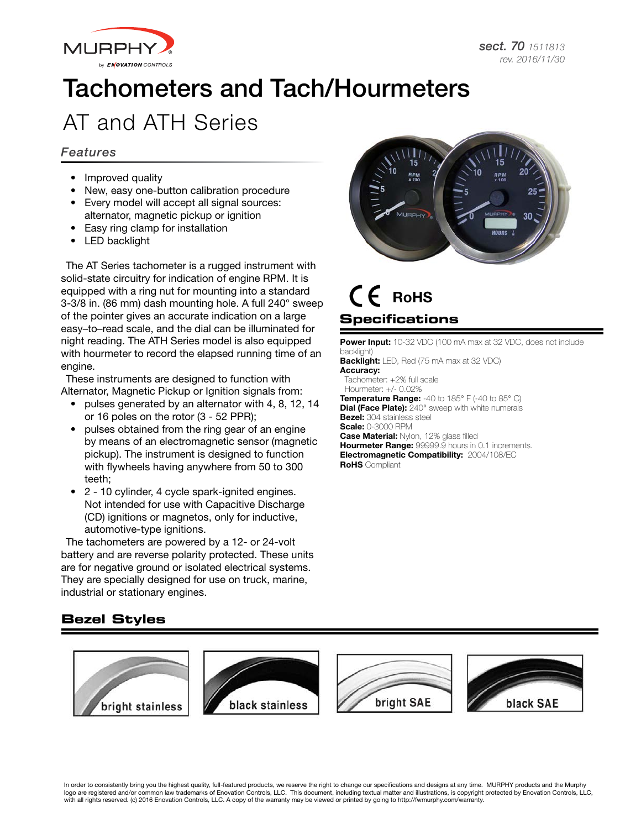

# Tachometers and Tach/Hourmeters

## AT and ATH Series

#### *Features*

- Improved quality
- New, easy one-button calibration procedure
- Every model will accept all signal sources: alternator, magnetic pickup or ignition
- Easy ring clamp for installation
- LED backlight

The AT Series tachometer is a rugged instrument with solid-state circuitry for indication of engine RPM. It is equipped with a ring nut for mounting into a standard 3-3/8 in. (86 mm) dash mounting hole. A full 240° sweep of the pointer gives an accurate indication on a large easy–to–read scale, and the dial can be illuminated for night reading. The ATH Series model is also equipped with hourmeter to record the elapsed running time of an engine.

These instruments are designed to function with Alternator, Magnetic Pickup or Ignition signals from:

- pulses generated by an alternator with 4, 8, 12, 14 or 16 poles on the rotor (3 - 52 PPR);
- pulses obtained from the ring gear of an engine by means of an electromagnetic sensor (magnetic pickup). The instrument is designed to function with flywheels having anywhere from 50 to 300 teeth;
- 2 10 cylinder, 4 cycle spark-ignited engines. Not intended for use with Capacitive Discharge (CD) ignitions or magnetos, only for inductive, automotive-type ignitions.

The tachometers are powered by a 12- or 24-volt battery and are reverse polarity protected. These units are for negative ground or isolated electrical systems. They are specially designed for use on truck, marine, industrial or stationary engines.



### **Specifications** CE RoHS

Power Input: 10-32 VDC (100 mA max at 32 VDC, does not include backlight) Backlight: LED, Red (75 mA max at 32 VDC) Accuracy: Tachometer: +2% full scale Hourmeter: +/- 0.02% Temperature Range: -40 to 185° F (-40 to 85° C) Dial (Face Plate): 240° sweep with white numerals **Bezel:** 304 stainless steel Scale: 0-3000 RPM Case Material: Nylon, 12% glass filled Hourmeter Range: 99999.9 hours in 0.1 increments. Electromagnetic Compatibility: 2004/108/EC **RoHS** Compliant

#### **Bezel Styles**